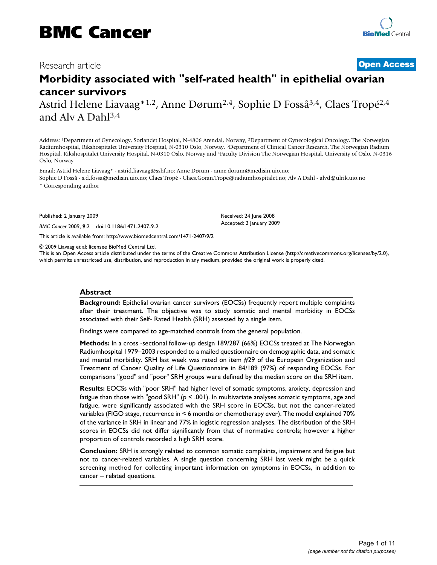# Research article **[Open Access](http://www.biomedcentral.com/info/about/charter/)**

# **Morbidity associated with "self-rated health" in epithelial ovarian cancer survivors**

Astrid Helene Liavaag\*1,2, Anne Dørum2,4, Sophie D Fosså3,4, Claes Tropé2,4 and Alv A Dahl3,4

Address: 1Department of Gynecology, Sorlandet Hospital, N-4806 Arendal, Norway, 2Department of Gynecological Oncology, The Norwegian Radiumhospital, Rikshospitalet University Hospital, N-0310 Oslo, Norway, 3Department of Clinical Cancer Research, The Norwegian Radium Hospital, Rikshospitalet University Hospital, N-0310 Oslo, Norway and 4Faculty Division The Norwegian Hospital, University of Oslo, N-0316 Oslo, Norway

Email: Astrid Helene Liavaag\* - astrid.liavaag@sshf.no; Anne Dørum - anne.dorum@medisin.uio.no; Sophie D Fosså - s.d.fossa@medisin.uio.no; Claes Tropé - Claes.Goran.Trope@radiumhospitalet.no; Alv A Dahl - alvd@ulrik.uio.no

\* Corresponding author

Published: 2 January 2009

*BMC Cancer* 2009, **9**:2 doi:10.1186/1471-2407-9-2

[This article is available from: http://www.biomedcentral.com/1471-2407/9/2](http://www.biomedcentral.com/1471-2407/9/2)

© 2009 Liavaag et al; licensee BioMed Central Ltd.

This is an Open Access article distributed under the terms of the Creative Commons Attribution License [\(http://creativecommons.org/licenses/by/2.0\)](http://creativecommons.org/licenses/by/2.0), which permits unrestricted use, distribution, and reproduction in any medium, provided the original work is properly cited.

Received: 24 June 2008 Accepted: 2 January 2009

# **Abstract**

**Background:** Epithelial ovarian cancer survivors (EOCSs) frequently report multiple complaints after their treatment. The objective was to study somatic and mental morbidity in EOCSs associated with their Self- Rated Health (SRH) assessed by a single item.

Findings were compared to age-matched controls from the general population.

**Methods:** In a cross -sectional follow-up design 189/287 (66%) EOCSs treated at The Norwegian Radiumhospital 1979–2003 responded to a mailed questionnaire on demographic data, and somatic and mental morbidity. SRH last week was rated on item #29 of the European Organization and Treatment of Cancer Quality of Life Questionnaire in 84/189 (97%) of responding EOCSs. For comparisons "good" and "poor" SRH groups were defined by the median score on the SRH item.

**Results:** EOCSs with "poor SRH" had higher level of somatic symptoms, anxiety, depression and fatigue than those with "good SRH" ( $p < .001$ ). In multivariate analyses somatic symptoms, age and fatigue, were significantly associated with the SRH score in EOCSs, but not the cancer-related variables (FIGO stage, recurrence in < 6 months or chemotherapy ever). The model explained 70% of the variance in SRH in linear and 77% in logistic regression analyses. The distribution of the SRH scores in EOCSs did not differ significantly from that of normative controls; however a higher proportion of controls recorded a high SRH score.

**Conclusion:** SRH is strongly related to common somatic complaints, impairment and fatigue but not to cancer-related variables. A single question concerning SRH last week might be a quick screening method for collecting important information on symptoms in EOCSs, in addition to cancer – related questions.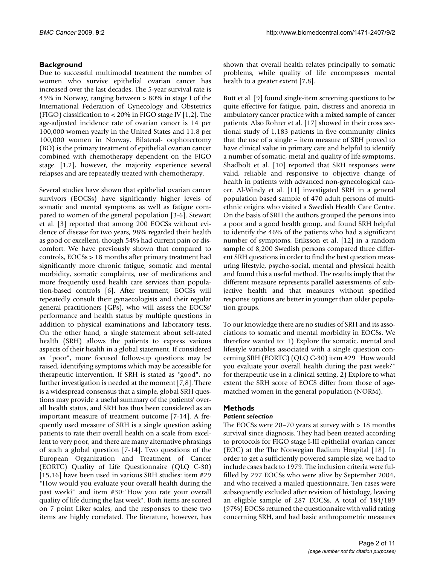# **Background**

Due to successful multimodal treatment the number of women who survive epithelial ovarian cancer has increased over the last decades. The 5-year survival rate is 45% in Norway, ranging between > 80% in stage I of the International Federation of Gynecology and Obstetrics (FIGO) classification to < 20% in FIGO stage IV [1,2]. The age-adjusted incidence rate of ovarian cancer is 14 per 100,000 women yearly in the United States and 11.8 per 100,000 women in Norway. Bilateral- oophorectomy (BO) is the primary treatment of epithelial ovarian cancer combined with chemotherapy dependent on the FIGO stage. [1,2], however, the majority experience several relapses and are repeatedly treated with chemotherapy.

Several studies have shown that epithelial ovarian cancer survivors (EOCSs) have significantly higher levels of somatic and mental symptoms as well as fatigue compared to women of the general population [3-6]. Stewart et al. [3] reported that among 200 EOCSs without evidence of disease for two years, 98% regarded their health as good or excellent, though 54% had current pain or discomfort. We have previously shown that compared to controls, EOCSs > 18 months after primary treatment had significantly more chronic fatigue, somatic and mental morbidity, somatic complaints, use of medications and more frequently used health care services than population-based controls [6]. After treatment, EOCSs will repeatedly consult their gynaecologists and their regular general practitioners (GPs), who will assess the EOCSs' performance and health status by multiple questions in addition to physical examinations and laboratory tests. On the other hand, a single statement about self-rated health (SRH) allows the patients to express various aspects of their health in a global statement. If considered as "poor", more focused follow-up questions may be raised, identifying symptoms which may be accessible for therapeutic intervention. If SRH is stated as "good", no further investigation is needed at the moment [7,8]. There is a widespread consensus that a simple, global SRH questions may provide a useful summary of the patients' overall health status, and SRH has thus been considered as an important measure of treatment outcome [7-14]. A frequently used measure of SRH is a single question asking patients to rate their overall health on a scale from excellent to very poor, and there are many alternative phrasings of such a global question [7-14]. Two questions of the European Organization and Treatment of Cancer (EORTC) Quality of Life Questionnaire (QLQ C-30) [15,16] have been used in various SRH studies: item #29 "How would you evaluate your overall health during the past week?" and item #30:"How you rate your overall quality of life during the last week". Both items are scored on 7 point Liker scales, and the responses to these two items are highly correlated. The literature, however, has shown that overall health relates principally to somatic problems, while quality of life encompasses mental health to a greater extent [7,8].

Butt et al. [9] found single-item screening questions to be quite effective for fatigue, pain, distress and anorexia in ambulatory cancer practice with a mixed sample of cancer patients. Also Rohrer et al. [17] showed in their cross sectional study of 1,183 patients in five community clinics that the use of a single – item measure of SRH proved to have clinical value in primary care and helpful to identify a number of somatic, metal and quality of life symptoms. Shadbolt et al. [10] reported that SRH responses were valid, reliable and responsive to objective change of health in patients with advanced non-gynecological cancer. Al-Windy et al. [11] investigated SRH in a general population based sample of 470 adult persons of multiethnic origins who visited a Swedish Health Care Centre. On the basis of SRH the authors grouped the persons into a poor and a good health group, and found SRH helpful to identify the 46% of the patients who had a significant number of symptoms. Eriksson et al. [12] in a random sample of 8,200 Swedish persons compared three different SRH questions in order to find the best question measuring lifestyle, psycho-social, mental and physical health and found this a useful method. The results imply that the different measure represents parallel assessments of subjective health and that measures without specified response options are better in younger than older population groups.

To our knowledge there are no studies of SRH and its associations to somatic and mental morbidity in EOCSs. We therefore wanted to: 1) Explore the somatic, mental and lifestyle variables associated with a single question concerning SRH (EORTC) (QLQ C-30) item #29 "How would you evaluate your overall health during the past week?" for therapeutic use in a clinical setting. 2) Explore to what extent the SRH score of EOCS differ from those of agematched women in the general population (NORM).

# **Methods**

# *Patient selection*

The EOCSs were 20–70 years at survey with > 18 months survival since diagnosis. They had been treated according to protocols for FIGO stage I-III epithelial ovarian cancer (EOC) at the The Norwegian Radium Hospital [18]. In order to get a sufficiently powered sample size, we had to include cases back to 1979. The inclusion criteria were fulfilled by 297 EOCSs who were alive by September 2004, and who received a mailed questionnaire. Ten cases were subsequently excluded after revision of histology, leaving an eligible sample of 287 EOCSs. A total of 184/189 (97%) EOCSs returned the questionnaire with valid rating concerning SRH, and had basic anthropometric measures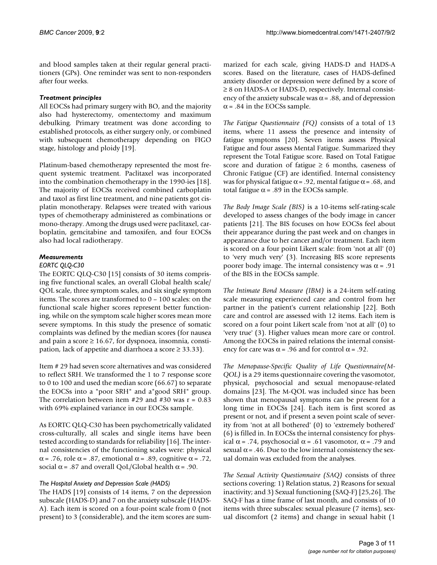and blood samples taken at their regular general practitioners (GPs). One reminder was sent to non-responders after four weeks.

# *Treatment principles*

All EOCSs had primary surgery with BO, and the majority also had hysterectomy, omentectomy and maximum debulking. Primary treatment was done according to established protocols, as either surgery only, or combined with subsequent chemotherapy depending on FIGO stage, histology and ploidy [19].

Platinum-based chemotherapy represented the most frequent systemic treatment. Paclitaxel was incorporated into the combination chemotherapy in the 1990-ies [18]. The majority of EOCSs received combined carboplatin and taxol as first line treatment, and nine patients got cisplatin monotherapy. Relapses were treated with various types of chemotherapy administered as combinations or mono-therapy. Among the drugs used were paclitaxel, carboplatin, gemcitabine and tamoxifen, and four EOCSs also had local radiotherapy.

# *Measurements*

# *EORTC QLQ-C30*

The EORTC QLQ-C30 [15] consists of 30 items comprising five functional scales, an overall Global health scale/ QOL scale, three symptom scales, and six single symptom items. The scores are transformed to 0 – 100 scales: on the functional scale higher scores represent better functioning, while on the symptom scale higher scores mean more severe symptoms. In this study the presence of somatic complaints was defined by the median scores (for nausea and pain a score  $\geq 16.67$ , for dyspnoea, insomnia, constipation, lack of appetite and diarrhoea a score  $\geq$  33.33).

Item # 29 had seven score alternatives and was considered to reflect SRH. We transformed the 1 to 7 response score to 0 to 100 and used the median score (66.67) to separate the EOCSs into a "poor SRH" and a"good SRH" group. The correlation between item  $#29$  and  $#30$  was  $r = 0.83$ with 69% explained variance in our EOCSs sample.

As EORTC QLQ-C30 has been psychometrically validated cross-culturally, all scales and single items have been tested according to standards for reliability [16]. The internal consistencies of the functioning scales were: physical α = .76, role α = .87, emotional α = .89, cognitive α = .72, social  $\alpha$  = .87 and overall QoL/Global health  $\alpha$  = .90.

# *The Hospital Anxiety and Depression Scale (HADS)*

The HADS [19] consists of 14 items, 7 on the depression subscale (HADS-D) and 7 on the anxiety subscale (HADS-A). Each item is scored on a four-point scale from 0 (not present) to 3 (considerable), and the item scores are summarized for each scale, giving HADS-D and HADS-A scores. Based on the literature, cases of HADS-defined anxiety disorder or depression were defined by a score of ≥ 8 on HADS-A or HADS-D, respectively. Internal consistency of the anxiety subscale was  $\alpha$  = .88, and of depression  $\alpha$  = .84 in the EOCSs sample.

*The Fatigue Questionnaire (FQ)* consists of a total of 13 items, where 11 assess the presence and intensity of fatigue symptoms [20]. Seven items assess Physical Fatigue and four assess Mental Fatigue. Summarized they represent the Total Fatigue score. Based on Total Fatigue score and duration of fatigue  $\geq 6$  months, caseness of Chronic Fatigue (CF) are identified. Internal consistency was for physical fatigue  $\alpha$  = .92, mental fatigue  $\alpha$  = .68, and total fatigue  $\alpha$  = .89 in the EOCSs sample.

*The Body Image Scale (BIS)* is a 10-items self-rating-scale developed to assess changes of the body image in cancer patients [21]. The BIS focuses on how EOCSs feel about their appearance during the past week and on changes in appearance due to her cancer and/or treatment. Each item is scored on a four point Likert scale: from 'not at all' (0) to 'very much very' (3). Increasing BIS score represents poorer body image. The internal consistency was  $\alpha$  = .91 of the BIS in the EOCSs sample.

*The Intimate Bond Measure (IBM)* is a 24-item self-rating scale measuring experienced care and control from her partner in the patient's current relationship [22]. Both care and control are assessed with 12 items. Each item is scored on a four point Likert scale from 'not at all' (0) to 'very true' (3). Higher values mean more care or control. Among the EOCSs in paired relations the internal consistency for care was  $\alpha$  = .96 and for control  $\alpha$  = .92.

*The Menopause-Specific Quality of Life Questionnaire(M-QOL)* is a 29 items questionnaire covering the vasomotor, physical, psychosocial and sexual menopause-related domains [23]. The M-QOL was included since has been shown that menopausal symptoms can be present for a long time in EOCSs [24]. Each item is first scored as present or not, and if present a seven point scale of severity from 'not at all bothered' (0) to 'extremely bothered' (6) is filled in. In EOCSs the internal consistency for physical  $\alpha$  = .74, psychosocial  $\alpha$  = .61 vasomotor,  $\alpha$  = .79 and sexual  $\alpha$  = .46. Due to the low internal consistency the sexual domain was excluded from the analyses.

*The Sexual Activity Questionnaire (SAQ)* consists of three sections covering: 1) Relation status, 2) Reasons for sexual inactivity; and 3) Sexual functioning (SAQ-F) [25,26]. The SAQ-F has a time frame of last month, and consists of 10 items with three subscales: sexual pleasure (7 items), sexual discomfort (2 items) and change in sexual habit (1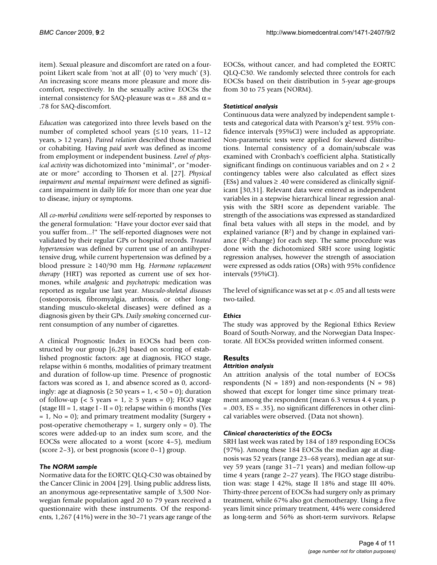item). Sexual pleasure and discomfort are rated on a fourpoint Likert scale from 'not at all' (0) to 'very much' (3). An increasing score means more pleasure and more discomfort, respectively. In the sexually active EOCSs the internal consistency for SAQ-pleasure was  $\alpha$  = .88 and  $\alpha$  = .78 for SAQ-discomfort.

*Education* was categorized into three levels based on the number of completed school years  $( \leq 10$  years, 11–12 years, > 12 years). *Paired relation* described those married or cohabiting. Having *paid work* was defined as income from employment or independent business. *Level of physical activity* was dichotomized into "minimal", or "moderate or more" according to Thorsen et al. [27]. *Physical impairment and mental impairment* were defined as significant impairment in daily life for more than one year due to disease, injury or symptoms.

All *co-morbid conditions* were self-reported by responses to the general formulation: "Have your doctor ever said that you suffer from...?" The self-reported diagnoses were not validated by their regular GPs or hospital records. *Treated hypertension* was defined by current use of an antihypertensive drug, while current hypertension was defined by a blood pressure ≥ 140/90 mm Hg. *Hormone replacement therapy* (HRT) was reported as current use of sex hormones, while *analgesic* and *psychotropic* medication was reported as regular use last year. *Musculo-skeletal diseases* (osteoporosis, fibromyalgia, arthrosis, or other longstanding musculo-skeletal diseases) were defined as a diagnosis given by their GPs. *Daily smoking* concerned current consumption of any number of cigarettes.

A clinical Prognostic Index in EOCSs had been constructed by our group [6,28] based on scoring of established prognostic factors: age at diagnosis, FIGO stage, relapse within 6 months, modalities of primary treatment and duration of follow-up time. Presence of prognostic factors was scored as 1, and absence scored as 0, accordingly: age at diagnosis ( $\geq 50$  years = 1, < 50 = 0); duration of follow-up (< 5 years =  $1, \ge 5$  years = 0); FIGO stage (stage III = 1, stage I - II = 0); relapse within 6 months (Yes  $= 1$ , No  $= 0$ ); and primary treatment modality (Surgery  $+$ post-operative chemotherapy = 1, surgery only = 0). The scores were added-up to an index sum score, and the EOCSs were allocated to a worst (score 4–5), medium (score 2–3), or best prognosis (score 0–1) group.

# *The NORM sample*

Normative data for the EORTC QLQ-C30 was obtained by the Cancer Clinic in 2004 [29]. Using public address lists, an anonymous age-representative sample of 3,500 Norwegian female population aged 20 to 79 years received a questionnaire with these instruments. Of the respondents, 1,267 (41%) were in the 30–71 years age range of the EOCSs, without cancer, and had completed the EORTC QLQ-C30. We randomly selected three controls for each EOCSs based on their distribution in 5-year age-groups from 30 to 75 years (NORM).

# *Statistical analysis*

Continuous data were analyzed by independent sample ttests and categorical data with Pearson's  $\chi^2$  test. 95% confidence intervals (95%CI) were included as appropriate. Non-parametric tests were applied for skewed distributions. Internal consistency of a domain/subscale was examined with Cronbach's coefficient alpha. Statistically significant findings on continuous variables and on  $2 \times 2$ contingency tables were also calculated as effect sizes (ESs) and values  $\geq$  .40 were considered as clinically significant [30,31]. Relevant data were entered as independent variables in a stepwise hierarchical linear regression analysis with the SRH score as dependent variable. The strength of the associations was expressed as standardized final beta values with all steps in the model, and by explained variance  $(R^2)$  and by change in explained variance (R2-change) for each step. The same procedure was done with the dichotomized SRH score using logistic regression analyses, however the strength of association were expressed as odds ratios (ORs) with 95% confidence intervals (95%CI).

The level of significance was set at  $p < 0.05$  and all tests were two-tailed.

# *Ethics*

The study was approved by the Regional Ethics Review Board of South-Norway, and the Norwegian Data Inspectorate. All EOCSs provided written informed consent.

# **Results**

# *Attrition analysis*

An attrition analysis of the total number of EOCSs respondents ( $N = 189$ ) and non-respondents ( $N = 98$ ) showed that except for longer time since primary treatment among the respondent (mean 6.3 versus 4.4 years, p = .003, ES = .35), no significant differences in other clinical variables were observed. (Data not shown).

# *Clinical characteristics of the EOCSs*

SRH last week was rated by 184 of 189 responding EOCSs (97%). Among these 184 EOCSs the median age at diagnosis was 52 years (range 23–68 years), median age at survey 59 years (range 31–71 years) and median follow-up time 4 years (range 2–27 years). The FIGO stage distribution was: stage I 42%, stage II 18% and stage III 40%. Thirty-three percent of EOCSs had surgery only as primary treatment, while 67% also got chemotherapy. Using a five years limit since primary treatment, 44% were considered as long-term and 56% as short-term survivors. Relapse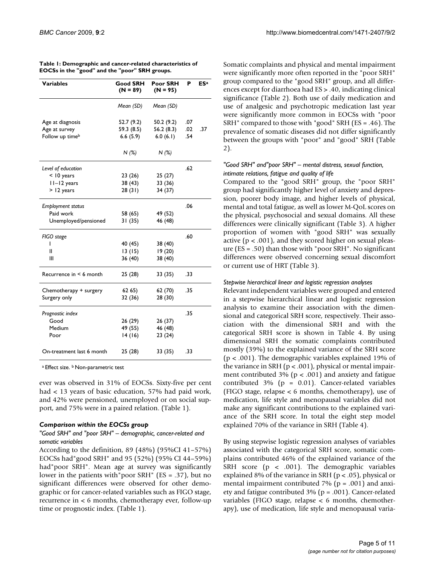| Variables                    | Good SRH<br>$(N = 89)$ | Poor SRH<br>$(N = 95)$ | Р   | ESª |
|------------------------------|------------------------|------------------------|-----|-----|
|                              | Mean (SD)              | Mean (SD)              |     |     |
| Age at diagnosis             | 52.7 (9.2)             | 50.2 (9.2)             | .07 |     |
| Age at survey                | 59.3 (8.5)             | 56.2 (8.3)             | .02 | .37 |
| Follow up time <sup>b</sup>  | 6.6(5.9)               | 6.0(6.1)               | .54 |     |
|                              | N(%)                   | N(%)                   |     |     |
| Level of education           |                        |                        | .62 |     |
| $<$ 10 years                 | 23(26)                 | 25(27)                 |     |     |
| II-I2 years                  | 38 (43)                | 33 (36)                |     |     |
| > 12 years                   | 28(31)                 | 34 (37)                |     |     |
| <b>Employment status</b>     |                        |                        | .06 |     |
| Paid work                    | 58 (65)                | 49 (52)                |     |     |
| Unemployed/pensioned         | 31 (35)                | 46 (48)                |     |     |
| FIGO stage                   |                        |                        | .60 |     |
| L                            | 40 (45)                | 38 (40)                |     |     |
| II                           | 13(15)                 | 19(20)                 |     |     |
| Ш                            | 36 (40)                | 38 (40)                |     |     |
| Recurrence in $\leq 6$ month | 25 (28)                | 33 (35)                | .33 |     |
| Chemotherapy + surgery       | 62 65)                 | 62(70)                 | .35 |     |
| Surgery only                 | 32 (36)                | 28 (30)                |     |     |
| Prognostic index             |                        |                        | .35 |     |
| Good                         | 26 (29)                | 26 (37)                |     |     |
| Medium                       | 49 (55)                | 46 (48)                |     |     |
| Poor                         | 14 (16)                | 23(24)                 |     |     |
| On-treatment last 6 month    | 25 (28)                | 33 (35)                | .33 |     |

**Table 1: Demographic and cancer-related characteristics of EOCSs in the "good" and the "poor" SRH groups.**

a Effect size. **b** Non-parametric test

ever was observed in 31% of EOCSs. Sixty-five per cent had < 13 years of basic education, 57% had paid work, and 42% were pensioned, unemployed or on social support, and 75% were in a paired relation. (Table 1).

# *Comparison within the EOCSs group*

#### *"Good SRH" and "poor SRH" – demographic, cancer-related and somatic variables*

According to the definition, 89 (48%) (95%CI 41–57%) EOCSs had"good SRH" and 95 (52%) (95% CI 44–59%) had"poor SRH". Mean age at survey was significantly lower in the patients with"poor SRH" (ES = .37), but no significant differences were observed for other demographic or for cancer-related variables such as FIGO stage, recurrence in < 6 months, chemotherapy ever, follow-up time or prognostic index. (Table 1).

Somatic complaints and physical and mental impairment were significantly more often reported in the "poor SRH" group compared to the "good SRH" group, and all differences except for diarrhoea had ES > .40, indicating clinical significance (Table 2). Both use of daily medication and use of analgesic and psychotropic medication last year were significantly more common in EOCSs with "poor SRH" compared to those with "good" SRH (ES = .46). The prevalence of somatic diseases did not differ significantly between the groups with "poor" and "good" SRH (Table 2).

# *"Good SRH" and"poor SRH" – mental distress, sexual function, intimate relations, fatigue and quality of life*

Compared to the "good SRH" group, the "poor SRH" group had significantly higher level of anxiety and depression, poorer body image, and higher levels of physical, mental and total fatigue, as well as lower M-QoL scores on the physical, psychosocial and sexual domains. All these differences were clinically significant (Table 3). A higher proportion of women with "good SRH" was sexually active ( $p < .001$ ), and they scored higher on sexual pleasure (ES = .50) than those with "poor SRH". No significant differences were observed concerning sexual discomfort or current use of HRT (Table 3).

# *Stepwise hierarchical linear and logistic regression analyses*

Relevant independent variables were grouped and entered in a stepwise hierarchical linear and logistic regression analysis to examine their association with the dimensional and categorical SRH score, respectively. Their association with the dimensional SRH and with the categorical SRH score is shown in Table 4. By using dimensional SRH the somatic complaints contributed mostly (39%) to the explained variance of the SRH score (p < .001). The demographic variables explained 19% of the variance in SRH ( $p < .001$ ), physical or mental impairment contributed 3% ( $p < .001$ ) and anxiety and fatigue contributed  $3\%$  (p = 0.01). Cancer-related variables (FIGO stage, relapse < 6 months, chemotherapy), use of medication, life style and menopausal variables did not make any significant contributions to the explained variance of the SRH score. In total the eight step model explained 70% of the variance in SRH (Table 4).

By using stepwise logistic regression analyses of variables associated with the categorical SRH score, somatic complains contributed 46% of the explained variance of the SRH score ( $p < .001$ ). The demographic variables explained 8% of the variance in SRH ( $p < .05$ ), physical or mental impairment contributed  $7\%$  ( $p = .001$ ) and anxiety and fatigue contributed 3% (p = .001). Cancer-related variables (FIGO stage, relapse < 6 months, chemotherapy), use of medication, life style and menopausal varia-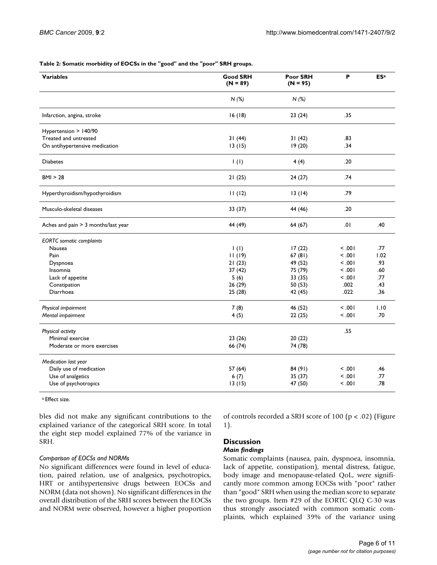#### **Table 2: Somatic morbidity of EOCSs in the "good" and the "poor" SRH groups.**

| <b>Variables</b>                    | <b>Good SRH</b><br>$(N = 89)$ | Poor SRH<br>$(N = 95)$ | P       | <b>ESa</b> |
|-------------------------------------|-------------------------------|------------------------|---------|------------|
|                                     | N(%)                          | N(%)                   |         |            |
| Infarction, angina, stroke          | 16(18)                        | 23(24)                 | .35     |            |
| Hypertension > 140/90               |                               |                        |         |            |
| Treated and untreated               | 31(44)                        | 31(42)                 | .83     |            |
| On antihypertensive medication      | 13(15)                        | 19(20)                 | .34     |            |
| <b>Diabetes</b>                     | $\mathbf{I}(\mathbf{I})$      | 4(4)                   | .20     |            |
| BMI > 28                            | 21(25)                        | 24(27)                 | .74     |            |
| Hyperthyroidism/hypothyroidism      | 11(12)                        | 13(14)                 | .79     |            |
| Musculo-skeletal diseases           | 33 (37)                       | 44 (46)                | .20     |            |
| Aches and pain > 3 months/last year | 44 (49)                       | 64 (67)                | .01     | .40        |
| <b>EORTC</b> somatic complaints     |                               |                        |         |            |
| Nausea                              | $\mathsf{I}(\mathsf{I})$      | 17(22)                 | 100.    | .77        |
| Pain                                | 11(19)                        | 67(81)                 | 100.    | 1.02       |
| Dyspnoea                            | 21(23)                        | 49 (52)                | 100.    | .93        |
| Insomnia                            | 37(42)                        | 75 (79)                | $-0.01$ | .60        |
| Lack of appetite                    | 5(6)                          | 33 (35)                | 100.    | .77        |
| Constipation                        | 26 (29)                       | 50 (53)                | .002    | .43        |
| Diarrhoea                           | 25(28)                        | 42 (45)                | .022    | .36        |
| Physical impairment                 | 7(8)                          | 46 (52)                | 100.    | 1.10       |
| Mental impairment                   | 4(5)                          | 22(25)                 | 100.    | .70        |
| Physical activity                   |                               |                        | .55     |            |
| Minimal exercise                    | 23(26)                        | 20(22)                 |         |            |
| Moderate or more exercises          | 66 (74)                       | 74 (78)                |         |            |
| Medication last year                |                               |                        |         |            |
| Daily use of medication             | 57 (64)                       | 84 (91)                | $-0.01$ | .46        |
| Use of analgetics                   | 6(7)                          | 35 (37)                | 100.    | .77        |
| Use of psychotropics                | 13(15)                        | 47 (50)                | 100.    | .78        |

a Effect size.

bles did not make any significant contributions to the explained variance of the categorical SRH score. In total the eight step model explained 77% of the variance in SRH.

# *Comparison of EOCSs and NORMs*

No significant differences were found in level of education, paired relation, use of analgesics, psychotropics, HRT or antihypertensive drugs between EOCSs and NORM (data not shown). No significant differences in the overall distribution of the SRH scores between the EOCSs and NORM were observed, however a higher proportion

of controls recorded a SRH score of 100 (p < .02) (Figure 1).

# **Discussion**

# *Main findings*

Somatic complaints (nausea, pain, dyspnoea, insomnia, lack of appetite, constipation), mental distress, fatigue, body image and menopause-related QoL, were significantly more common among EOCSs with "poor" rather than "good" SRH when using the median score to separate the two groups. Item #29 of the EORTC QLQ C-30 was thus strongly associated with common somatic complaints, which explained 39% of the variance using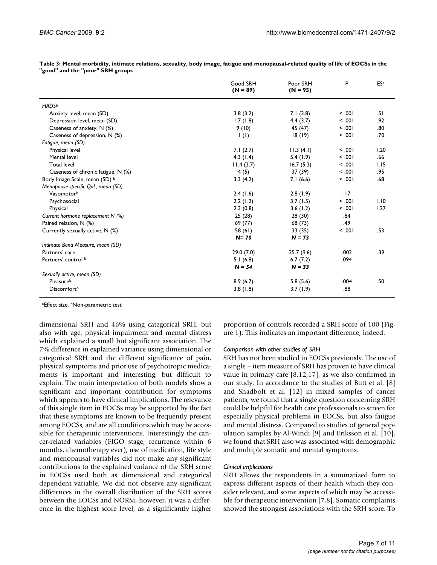|                                    | Good SRH<br>$(N = 89)$   | Poor SRH<br>$(N = 95)$ | P      | <b>ESa</b> |
|------------------------------------|--------------------------|------------------------|--------|------------|
| <b>HADS</b> b                      |                          |                        |        |            |
| Anxiety level, mean (SD)           | 3.8(3.2)                 | 7.1(3.8)               | 100.   | .51        |
| Depression level, mean (SD)        | 1.7(1.8)                 | 4.4(3.7)               | 100.   | .92        |
| Caseness of anxiety, N (%)         | 9(10)                    | 45 (47)                | 100.   | .80        |
| Caseness of depression, N (%)      | $\mathsf{I}(\mathsf{I})$ | 18(19)                 | 100.   | .70        |
| Fatigue, mean (SD)                 |                          |                        |        |            |
| Physical level                     | 7.1(2.7)                 | 11.3(4.1)              | < 0.01 | 1.20       |
| Mental level                       | 4.3 $(1.4)$              | 5.4(1.9)               | 100.   | .66        |
| <b>Total level</b>                 | 11.4(3.7)                | 16.7(5.3)              | 100.   | 1.15       |
| Caseness of chronic fatigue, N (%) | 4(5)                     | 37(39)                 | 100.   | .95        |
| Body Image Scale, mean (SD) b      | 3.3(4.2)                 | 7.1(6.6)               | < 0.01 | .68        |
| Menopause-specific QoL, mean (SD)  |                          |                        |        |            |
| Vasomotorb                         | 2.4(1.6)                 | 2.8(1.9)               | .17    |            |
| Psychosocial                       | 2.2(1.2)                 | 3.7(1.5)               | < 0.01 | 1.10       |
| Physical                           | 2.3(0.8)                 | 3.6(1.2)               | 100.   | 1.27       |
| Current hormone replacement N (%)  | 25(28)                   | 28 (30)                | .84    |            |
| Paired relation, N (%)             | 69 (77)                  | 68 (73)                | .49    |            |
| Currently sexually active, N (%)   | 58 (61)                  | 33(35)                 | 100.   | .53        |
|                                    | $N = 70$                 | $N = 73$               |        |            |
| Intimate Bond Measure, mean (SD)   |                          |                        |        |            |
| Partners' care                     | 29.0(7.0)                | 25.7(9.6)              | .002   | .39        |
| Partners' control b                | 5.1(6.8)                 | 6.7(7.2)               | .094   |            |
|                                    | $N = 54$                 | $N = 33$               |        |            |
| Sexually active, mean (SD)         |                          |                        |        |            |
| Pleasureb                          | 8.9(6.7)                 | 5.8(5.6)               | .004   | .50        |
| <b>Discomfort</b> <sup>b</sup>     | 3.8(1.8)                 | 3.7(1.9)               | .88    |            |

**Table 3: Mental morbidity, intimate relations, sexuality, body image, fatigue and menopausal-related quality of life of EOCSs in the "good" and the "poor" SRH groups**

aEffect size. bNon-parametric test

dimensional SRH and 46% using categorical SRH, but also with age, physical impairment and mental distress which explained a small but significant association. The 7% difference in explained variance using dimensional or categorical SRH and the different significance of pain, physical symptoms and prior use of psychotropic medicaments is important and interesting, but difficult to explain. The main interpretation of both models show a significant and important contribution for symptoms which appears to have clinical implications. The relevance of this single item in EOCSs may be supported by the fact that these symptoms are known to be frequently present among EOCSs, and are all conditions which may be accessible for therapeutic interventions. Interestingly the cancer-related variables (FIGO stage, recurrence within 6 months, chemotherapy ever), use of medication, life style and menopausal variables did not make any significant contributions to the explained variance of the SRH score in EOCSs used both as dimensional and categorical dependent variable. We did not observe any significant differences in the overall distribution of the SRH scores between the EOCSs and NORM, however, it was a difference in the highest score level, as a significantly higher proportion of controls recorded a SRH score of 100 (Figure 1). This indicates an important difference, indeed.

# *Comparison with other studies of SRH*

SRH has not been studied in EOCSs previously. The use of a single – item measure of SRH has proven to have clinical value in primary care  $[8,12,17]$ , as we also confirmed in our study. In accordance to the studies of Butt et al. [8] and Shadbolt et al. [12] in mixed samples of cancer patients, we found that a single question concerning SRH could be helpful for health care professionals to screen for especially physical problems in EOCSs, but also fatigue and mental distress. Compared to studies of general population samples by Al-Windi [9] and Eriksson et al. [10], we found that SRH also was associated with demographic and multiple somatic and mental symptoms.

# *Clinical implications*

SRH allows the respondents in a summarized form to express different aspects of their health which they consider relevant, and some aspects of which may be accessible for therapeutic intervention [7,8]. Somatic complaints showed the strongest associations with the SRH score. To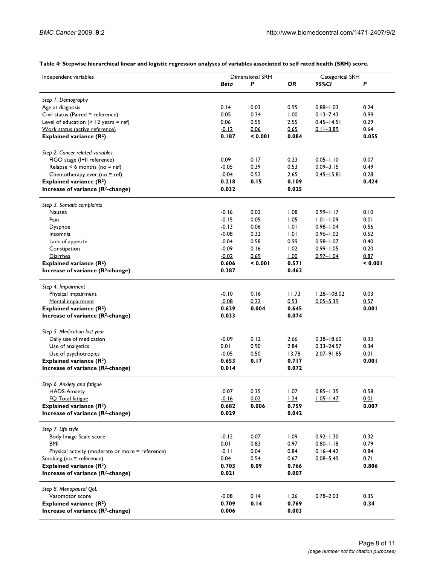| Table 4: Stepwise hierarchical linear and logistic regression analyses of variables associated to self rated health (SRH) score. |  |  |  |  |  |
|----------------------------------------------------------------------------------------------------------------------------------|--|--|--|--|--|
|----------------------------------------------------------------------------------------------------------------------------------|--|--|--|--|--|

| Independent variables                            | Dimensional SRH |         |             | Categorical SRH |         |  |  |
|--------------------------------------------------|-----------------|---------|-------------|-----------------|---------|--|--|
|                                                  | Beta            | P       | OR          | 95%CI           | Ρ       |  |  |
|                                                  |                 |         |             |                 |         |  |  |
| Step 1. Demography                               |                 |         |             |                 |         |  |  |
| Age at diagnosis                                 | 0.14            | 0.03    | 0.95        | $0.88 - 1.03$   | 0.24    |  |  |
| Civil status (Paired = reference)                | 0.05            | 0.34    | 1.00        | $0.13 - 7.43$   | 0.99    |  |  |
| Level of education $(> 12$ years = ref)          | 0.06            | 0.55    | 2.55        | $0.45 - 14.51$  | 0.29    |  |  |
| Work status (active reference)                   | $-0.12$         | 0.06    | 0.65        | $0.11 - 3.89$   | 0.64    |  |  |
| Explained variance $(R^2)$                       | 0.187           | < 0.001 | 0.084       |                 | 0.055   |  |  |
|                                                  |                 |         |             |                 |         |  |  |
| Step 2. Cancer related variables                 |                 |         |             |                 |         |  |  |
| FIGO stage (I+II reference)                      | 0.09            | 0.17    | 0.23        | $0.05 - 1.10$   | 0.07    |  |  |
| Relapse $<$ 6 months (no = ref)                  | $-0.05$         | 0.39    | 0.53        | $0.09 - 3.15$   | 0.49    |  |  |
| Chemotherapy ever (no = ref)                     | $-0.04$         | 0.52    | <u>2.65</u> | $0.45 - 15.81$  | 0.28    |  |  |
| Explained variance (R <sup>2</sup> )             | 0.218           | 0.15    | 0.109       |                 | 0.424   |  |  |
| Increase of variance (R <sup>2</sup> -change)    | 0.032           |         | 0.025       |                 |         |  |  |
| Step 3. Somatic complaints                       |                 |         |             |                 |         |  |  |
| Nausea                                           | $-0.16$         | 0.02    | 1.08        | $0.99 - 1.17$   | 0.10    |  |  |
| Pain                                             | $-0.15$         | 0.05    | 1.05        | $1.01 - 1.09$   | 0.01    |  |  |
| Dyspnoe                                          | $-0.13$         | 0.06    | 1.01        | $0.98 - 1.04$   | 0.56    |  |  |
| Insomnia                                         | $-0.08$         | 0.32    | 1.01        | $0.96 - 1.02$   | 0.52    |  |  |
| Lack of appetite                                 | $-0.04$         | 0.58    | 0.99        | $0.98 - 1.07$   | 0.40    |  |  |
| Constipation                                     | $-0.09$         | 0.16    | 1.02        | $0.99 - 1.05$   | 0.20    |  |  |
|                                                  |                 |         |             |                 |         |  |  |
| Diarrhea                                         | $-0.02$         | 0.69    | L00         | $0.97 - 1.04$   | 0.87    |  |  |
| Explained variance (R <sup>2</sup> )             | 0.606           | < 0.001 | 0.571       |                 | < 0.001 |  |  |
| Increase of variance (R <sup>2</sup> -change)    | 0.387           |         | 0.462       |                 |         |  |  |
| Step 4. Impairment                               |                 |         |             |                 |         |  |  |
| Physical impairment                              | $-0.10$         | 0.16    | 11.73       | $1.28 - 108.02$ | 0.03    |  |  |
| Mental impairment                                | $-0.08$         | 0.22    | 0.53        | $0.05 - 5.39$   | 0.57    |  |  |
| Explained variance $(R^2)$                       | 0.639           | 0.004   | 0.645       |                 | 0.001   |  |  |
| Increase of variance (R <sup>2</sup> -change)    | 0.033           |         | 0.074       |                 |         |  |  |
|                                                  |                 |         |             |                 |         |  |  |
| Step 5. Medication last year                     |                 |         |             |                 |         |  |  |
| Daily use of medication                          | $-0.09$         | 0.12    | 2.66        | $0.38 - 18.60$  | 0.33    |  |  |
| Use of analgetics                                | 0.01            | 0.90    | 2.84        | $0.33 - 24.57$  | 0.34    |  |  |
| Use of psychotropics                             | $-0.05$         | 0.50    | 13.78       | $2.07 - 91.85$  | 0.01    |  |  |
| Explained variance $(R^2)$                       | 0.653           | 0.17    | 0.717       |                 | 0.001   |  |  |
| Increase of variance (R <sup>2</sup> -change)    | 0.014           |         | 0.072       |                 |         |  |  |
|                                                  |                 |         |             |                 |         |  |  |
| Step 6. Anxiety and fatigue                      |                 |         |             |                 |         |  |  |
| HADS-Anxiety                                     | $-0.07$         | 0.35    | 1.07        | $0.85 - 1.35$   | 0.58    |  |  |
| FO Total fatigue                                 | $-0.16$         | 0.02    | 1.24        | $1.05 - 1.47$   | 0.01    |  |  |
| Explained variance (R <sup>2</sup> )             | 0.682           | 0.006   | 0.759       |                 | 0.007   |  |  |
| Increase of variance (R <sup>2</sup> -change)    | 0.029           |         | 0.042       |                 |         |  |  |
| Step 7. Life style                               |                 |         |             |                 |         |  |  |
| Body Image Scale score                           | $-0.12$         | 0.07    | 1.09        | $0.92 - 1.30$   | 0.32    |  |  |
| BMI                                              | 0.01            | 0.83    | 0.97        | $0.80 - 1.18$   | 0.79    |  |  |
| Physical activity (moderate or more = reference) | $-0.11$         | 0.04    | 0.84        | $0.16 - 4.42$   | 0.84    |  |  |
| Smoking (no = reference)                         | 0.04            | 0.54    | 0.67        | $0.08 - 5.49$   | 0.71    |  |  |
| Explained variance $(R^2)$                       | 0.703           | 0.09    | 0.766       |                 | 0.806   |  |  |
|                                                  | 0.021           |         | 0.007       |                 |         |  |  |
| Increase of variance (R <sup>2</sup> -change)    |                 |         |             |                 |         |  |  |
| Step 8. Menopausal QoL                           |                 |         |             |                 |         |  |  |
| Vasomotor score                                  | $-0.08$         | 0.14    | 1.26        | $0.78 - 2.03$   | 0.35    |  |  |
| Explained variance (R <sup>2</sup> )             | 0.709           | 0.14    | 0.769       |                 | 0.34    |  |  |
| Increase of variance (R <sup>2</sup> -change)    | 0.006           |         | 0.003       |                 |         |  |  |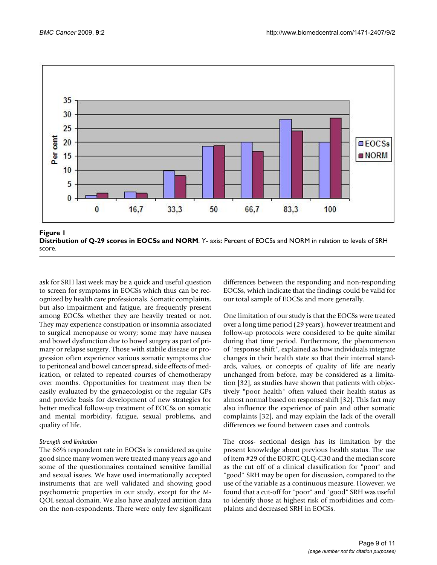

**Figure I Distribution of Q-29 scores in EOCSs and NORM**. Y- axis: Percent of EOCSs and NORM in relation to levels of SRH score.

ask for SRH last week may be a quick and useful question to screen for symptoms in EOCSs which thus can be recognized by health care professionals. Somatic complaints, but also impairment and fatigue, are frequently present among EOCSs whether they are heavily treated or not. They may experience constipation or insomnia associated to surgical menopause or worry; some may have nausea and bowel dysfunction due to bowel surgery as part of primary or relapse surgery. Those with stabile disease or progression often experience various somatic symptoms due to peritoneal and bowel cancer spread, side effects of medication, or related to repeated courses of chemotherapy over months. Opportunities for treatment may then be easily evaluated by the gynaecologist or the regular GPs and provide basis for development of new strategies for better medical follow-up treatment of EOCSs on somatic and mental morbidity, fatigue, sexual problems, and quality of life.

# *Strength and limitation*

The 66% respondent rate in EOCSs is considered as quite good since many women were treated many years ago and some of the questionnaires contained sensitive familial and sexual issues. We have used internationally accepted instruments that are well validated and showing good psychometric properties in our study, except for the M-QOL sexual domain. We also have analyzed attrition data on the non-respondents. There were only few significant differences between the responding and non-responding EOCSs, which indicate that the findings could be valid for our total sample of EOCSs and more generally.

One limitation of our study is that the EOCSs were treated over a long time period (29 years), however treatment and follow-up protocols were considered to be quite similar during that time period. Furthermore, the phenomenon of "response shift", explained as how individuals integrate changes in their health state so that their internal standards, values, or concepts of quality of life are nearly unchanged from before, may be considered as a limitation [32], as studies have shown that patients with objectively "poor health" often valued their health status as almost normal based on response shift [32]. This fact may also influence the experience of pain and other somatic complaints [32], and may explain the lack of the overall differences we found between cases and controls.

The cross- sectional design has its limitation by the present knowledge about previous health status. The use of item #29 of the EORTC QLQ-C30 and the median score as the cut off of a clinical classification for "poor" and "good" SRH may be open for discussion, compared to the use of the variable as a continuous measure. However, we found that a cut-off for "poor" and "good" SRH was useful to identify those at highest risk of morbidities and complaints and decreased SRH in EOCSs.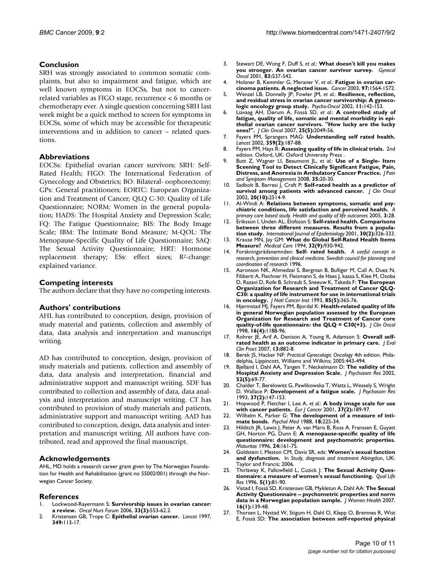# **Conclusion**

SRH was strongly associated to common somatic complaints, but also to impairment and fatigue, which are well known symptoms in EOCSs, but not to cancerrelated variables as FIGO stage, recurrence < 6 months or chemotherapy ever. A single question concerning SRH last week might be a quick method to screen for symptoms in EOCSs, some of which may be accessible for therapeutic interventions and in addition to cancer – related questions.

# **Abbreviations**

EOCSs: Epithelial ovarian cancer survivors; SRH: Self-Rated Health; FIGO: The International Federation of Gynecology and Obstetrics; BO: Bilateral- oophorectomy; GPs: General practitioners; EORTC: European Organization and Treatment of Cancer; QLQ C-30: Quality of Life Questionnaire; NORM: Women in the general population; HADS: The Hospital Anxiety and Depression Scale; FQ: The Fatigue Questionnaire; BIS: The Body Image Scale; IBM: The Intimate Bond Measure; M-QOL: The Menopause-Specific Quality of Life Questionnaire; SAQ: The Sexual Activity Questionnaire; HRT: Hormone replacement therapy; ESs: effect sizes; R<sup>2</sup>-change: explained variance.

# **Competing interests**

The authors declare that they have no competing interests.

# **Authors' contributions**

AHL has contributed to conception, design, provision of study material and patients, collection and assembly of data, data analysis and interpretation and manuscript writing.

AD has contributed to conception, design, provision of study materials and patients, collection and assembly of data, data analysis and interpretation, financial and administrative support and manuscript writing. SDF has contributed to collection and assembly of data, data analysis and interpretation and manuscript writing. CT has contributed to provision of study materials and patients, administrative support and manuscript writing. AAD has contributed to conception, design, data analysis and interpretation and manuscript writing. All authors have contributed, read and approved the final manuscript.

# **Acknowledgements**

AHL, MD holds a research career grant given by The Norwegian Foundation for Health and Rehabilitation (grant no 55002/001) through the Norwegian Cancer Society.

# **References**

- 1. Lockwood-Rayermann S: **[Survivorship issues in ovarian cancer:](http://www.ncbi.nlm.nih.gov/entrez/query.fcgi?cmd=Retrieve&db=PubMed&dopt=Abstract&list_uids=16676012) [a review.](http://www.ncbi.nlm.nih.gov/entrez/query.fcgi?cmd=Retrieve&db=PubMed&dopt=Abstract&list_uids=16676012)** *Oncol Nurs Forum* 2006, **33(3):**553-62.2.
- 2. Kristensen GB, Trope C: **[Epithelial ovarian cancer.](http://www.ncbi.nlm.nih.gov/entrez/query.fcgi?cmd=Retrieve&db=PubMed&dopt=Abstract&list_uids=8996432)** *Lancet* 1997, **349:**113-17.
- 3. Stewart DE, Wong F, Duff S, *et al.*: **[What doesn't kill you makes](http://www.ncbi.nlm.nih.gov/entrez/query.fcgi?cmd=Retrieve&db=PubMed&dopt=Abstract&list_uids=11733968) [you stronger. An ovarian cancer survivor survey.](http://www.ncbi.nlm.nih.gov/entrez/query.fcgi?cmd=Retrieve&db=PubMed&dopt=Abstract&list_uids=11733968)** *Gynecol Oncol* 2001, **83:**537-542.
- 4. Holzner B, Kemmler G, Meraner V, *et al.*: **[Fatigue in ovarian car](http://www.ncbi.nlm.nih.gov/entrez/query.fcgi?cmd=Retrieve&db=PubMed&dopt=Abstract&list_uids=12627522)[cinoma patients. A neglected issue.](http://www.ncbi.nlm.nih.gov/entrez/query.fcgi?cmd=Retrieve&db=PubMed&dopt=Abstract&list_uids=12627522)** *Cancer* 2003, **97:**1564-1572.
- 5. Wenzel LB, Donnelly JP, Fowler JM, *et al.*: **Resilience, reflection, and residual stress in ovarian cancer survivorship: A gynecologic oncology group study.** *Psycho-Oncol* 2002, **11:**142-153.
- 6. Liavaag AH, Dørum A, Fosså SD, *et al.*: **[A controlled study of](http://www.ncbi.nlm.nih.gov/entrez/query.fcgi?cmd=Retrieve&db=PubMed&dopt=Abstract&list_uids=17513809) [fatigue, quality of life, somatic and mental morbidity in epi](http://www.ncbi.nlm.nih.gov/entrez/query.fcgi?cmd=Retrieve&db=PubMed&dopt=Abstract&list_uids=17513809)thelial ovarian cancer survivors. "How lucky are the lucky [ones?".](http://www.ncbi.nlm.nih.gov/entrez/query.fcgi?cmd=Retrieve&db=PubMed&dopt=Abstract&list_uids=17513809)** *J Clin Oncol* 2007, **25(5):**2049-56.
- 7. Fayers PM, Sprangers MAG: **[Understanding self rated health.](http://www.ncbi.nlm.nih.gov/entrez/query.fcgi?cmd=Retrieve&db=PubMed&dopt=Abstract&list_uids=11812551)** *Lancet* 2002, **359(2):**187-88.
- 8. Fayers PM, Hays R: Assessing quality of life in clinical trials. 2nd edition. Oxford, UK: Oxford University Press .
- 9. Butt Z, Wagner LI, Beaumont JL, *et al.*: **Use of a Single- Item Sceening Tool to Detect Clinically Significant Fatigue, Pain, Distress, and Anorexia in Ambulatory Cancer Practice.** *J Pain and Symptom Management* 2008, **35:**20-30.
- 10. Sadbolt B, Barresi J, Craft P: **[Self-rated health as a predictor of](http://www.ncbi.nlm.nih.gov/entrez/query.fcgi?cmd=Retrieve&db=PubMed&dopt=Abstract&list_uids=12011130) [survival among patients with advanced cancer.](http://www.ncbi.nlm.nih.gov/entrez/query.fcgi?cmd=Retrieve&db=PubMed&dopt=Abstract&list_uids=12011130)** *J Clin Oncol* 2002, **20(10):**2514-9.
- 11. Al-Windi A: **Relations between symptoms, somatic and psychiatric conditions, life satisfaction and perceived health.** *A primary care based study. Health and quality of life outcomes* 2005, **3:**28.
- 12. Eriksson I, Unden AL, Elofsson S: **[Self-rated health. Comparisons](http://www.ncbi.nlm.nih.gov/entrez/query.fcgi?cmd=Retrieve&db=PubMed&dopt=Abstract&list_uids=11369738) [between three different measures. Results from a popula](http://www.ncbi.nlm.nih.gov/entrez/query.fcgi?cmd=Retrieve&db=PubMed&dopt=Abstract&list_uids=11369738)[tion study.](http://www.ncbi.nlm.nih.gov/entrez/query.fcgi?cmd=Retrieve&db=PubMed&dopt=Abstract&list_uids=11369738)** *International Journal of Epidemiology* 2001, **30(2):**326-333.
- 13. Krause MN, Jay GM: **[What do Global Self-Rated Health Items](http://www.ncbi.nlm.nih.gov/entrez/query.fcgi?cmd=Retrieve&db=PubMed&dopt=Abstract&list_uids=8090045) [Measure?](http://www.ncbi.nlm.nih.gov/entrez/query.fcgi?cmd=Retrieve&db=PubMed&dopt=Abstract&list_uids=8090045)** *Medical Care* 1994, **32(9):**930-942.
- 14. Forskningsrådsnemnden: **Self- rated health.** *A useful concept in research, prevention and clinical medicine. Swedish council for planning and coordination of research* 1996.
- 15. Aaronson NK, Ahmedzai S, Bergman B, Bulliger M, Cull A, Duez N, Filiberti A, Flechner H, Fleismann S, de Haes J, kaasa S, Klee M, Osoba D, Razavi D, Rofe B, Schraub S, Sneeuw K, Takeda F: **[The European](http://www.ncbi.nlm.nih.gov/entrez/query.fcgi?cmd=Retrieve&db=PubMed&dopt=Abstract&list_uids=8433390) [Organization for Research and Treatment of Cancer QLQ-](http://www.ncbi.nlm.nih.gov/entrez/query.fcgi?cmd=Retrieve&db=PubMed&dopt=Abstract&list_uids=8433390)C30: a quality of life instrument for use in international trials [in oncology.](http://www.ncbi.nlm.nih.gov/entrez/query.fcgi?cmd=Retrieve&db=PubMed&dopt=Abstract&list_uids=8433390)** *J Natl Cancer Inst* 1993, **85(5):**365-76.
- 16. Hjermstad MJ, Fayers PM, Bjordal K: **[Health-related quality of life](http://www.ncbi.nlm.nih.gov/entrez/query.fcgi?cmd=Retrieve&db=PubMed&dopt=Abstract&list_uids=9508207) [in general Norwegian population assessed by the European](http://www.ncbi.nlm.nih.gov/entrez/query.fcgi?cmd=Retrieve&db=PubMed&dopt=Abstract&list_uids=9508207) Organization for Research and Treatment of Cancer core [quality-of-life questionnaire: the QLQ = C30\(+3\).](http://www.ncbi.nlm.nih.gov/entrez/query.fcgi?cmd=Retrieve&db=PubMed&dopt=Abstract&list_uids=9508207)** *J Clin Oncol* 1998, **16(4):**1188-96.
- 17. Rohrer JE, Arif A, Denison A, Young R, Adamson S: [Overall self](http://www.ncbi.nlm.nih.gov/entrez/query.fcgi?cmd=Retrieve&db=PubMed&dopt=Abstract&list_uids=18070258)**[rated health as an outcome indicator in primary care.](http://www.ncbi.nlm.nih.gov/entrez/query.fcgi?cmd=Retrieve&db=PubMed&dopt=Abstract&list_uids=18070258)** *J Eval Clin Pract* 2007, **13:**882-8.
- 18. Berek JS, Hacker NF: *Practical Gynecologic Oncology* 4th edition. Philadelphia, Lippincott, Williams and Wilkins; 2005:443-494.
- 19. Bjelland I, Dahl AA, Tangen T, Neckelmann D: **[The validity of the](http://www.ncbi.nlm.nih.gov/entrez/query.fcgi?cmd=Retrieve&db=PubMed&dopt=Abstract&list_uids=11832252) [Hospital Anxiety and Depression Scale.](http://www.ncbi.nlm.nih.gov/entrez/query.fcgi?cmd=Retrieve&db=PubMed&dopt=Abstract&list_uids=11832252)** *J Psychosom Res* 2002, **52(5):**69-77.
- 20. Chalder T, Berelowitz G, Pawlikowska T, Watts L, Wessely S, Wright D, Wallace P: **[Development of a fatigue scale.](http://www.ncbi.nlm.nih.gov/entrez/query.fcgi?cmd=Retrieve&db=PubMed&dopt=Abstract&list_uids=8463991)** *J Psychosom Res* 1993, **37(2):**147-153.
- 21. Hopwood P, Fletcher I, Lee A, *et al.*: **[A body image scale for use](http://www.ncbi.nlm.nih.gov/entrez/query.fcgi?cmd=Retrieve&db=PubMed&dopt=Abstract&list_uids=11166145) [with cancer patients.](http://www.ncbi.nlm.nih.gov/entrez/query.fcgi?cmd=Retrieve&db=PubMed&dopt=Abstract&list_uids=11166145)** *Eur J Cancer* 2001, **37(2):**189-97.
- 22. Wilhelm K, Parker G: **[The development of a measure of inti](http://www.ncbi.nlm.nih.gov/entrez/query.fcgi?cmd=Retrieve&db=PubMed&dopt=Abstract&list_uids=3363041)[mate bonds.](http://www.ncbi.nlm.nih.gov/entrez/query.fcgi?cmd=Retrieve&db=PubMed&dopt=Abstract&list_uids=3363041)** *Psychol Med* 1988, **18:**225-34.
- 23. Hilditch JR, Lewis J, Peter A, van Maris B, Ross A, Franssen E, Guyatt GH, Norton PG, Dunn E: **[A menopause-specific quality of life](http://www.ncbi.nlm.nih.gov/entrez/query.fcgi?cmd=Retrieve&db=PubMed&dopt=Abstract&list_uids=8844630) [questionnaire: development and psychometric properties.](http://www.ncbi.nlm.nih.gov/entrez/query.fcgi?cmd=Retrieve&db=PubMed&dopt=Abstract&list_uids=8844630)** *Maturitas* 1996, **24:**161-75.
- 24. Goldstein I, Meston CM, Davis SR, eds: **Women's sexual function and dysfunction.** In *Study, diagnosis and treatment* Abingdon, UK: Taylor and Francis; 2006.
- 25. Thirlaway K, Fallowfield L, Cuzick J: **[The Sexual Activity Ques](http://www.ncbi.nlm.nih.gov/entrez/query.fcgi?cmd=Retrieve&db=PubMed&dopt=Abstract&list_uids=8901370)[tionnaire: a measure of women's sexual functioning.](http://www.ncbi.nlm.nih.gov/entrez/query.fcgi?cmd=Retrieve&db=PubMed&dopt=Abstract&list_uids=8901370)** *Qual Life Res* 1996, **5(1):**81-90.
- 26. Vistad I, Fosså SD, Kristensen GB, Mykletun A, Dahl AA: **The Sexual Activity Questionnaire – psychometric properties and norm data in a Norwegian population sample.** *J Women Health* 2007, **16(1):**139-48.
- 27. Thorsen L, Nystad W, Stigum H, Dahl O, Klepp O, Bremnes R, Wist E, Fosså SD: **[The association between self-reported physical](http://www.ncbi.nlm.nih.gov/entrez/query.fcgi?cmd=Retrieve&db=PubMed&dopt=Abstract&list_uids=15756585)**